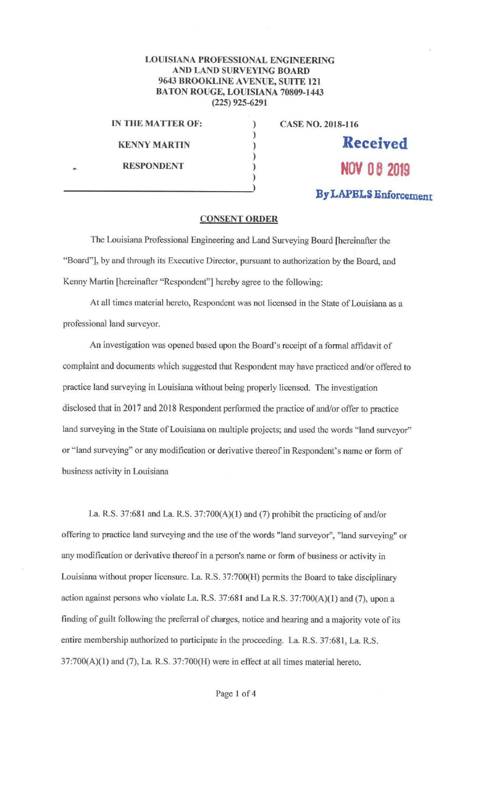## **LOUISIANA PROFESSIONAL ENGINEERING AND LAND SURVEYING BOARD 9643 BROOKLINE A VENUE, SUITE 121 BATON ROUGE, LOUISIANA 70809-1443 (225) 925-6291**

)

)

IN **THE MATTER OF:** ) **CASE NO. 2018-116** 

**KENNY MARTIN 1** (1) **Received** 

..

**RESPONDENT** ) **NOV 08 2019** )

**By LAPBLS Enforcement** 

## **CONSENT ORDER**

The Louisiana Professional Engineering and Land Surveying Board {hereinafter the "Board"], by and through its Executive Director, pursuant to authorization by the Board, and Kenny Martin [hereinafter "Respondent"] hereby agree to the following:

At all times material hereto, Respondent was not licensed in the State of Louisiana as a professional land surveyor.

An investigation was opened based upon the Board's receipt of a formal affidavit of complaint and documents which suggested that Respondent may have practiced and/or offered to practice land surveying in Louisiana without being properly licensed. The investigation disclosed that in 2017 and 2018 Respondent performed the practice of and/or offer to practice land surveying in the State of Louisiana on multiple projects; and used the words "land surveyor" or "land surveying" or any modification or derivative thereof in Respondent's name or form of business activity in Louisiana

La. R.S. 37:681 and La. R.S.  $37:700(A)(1)$  and (7) prohibit the practicing of and/or offering to practice land surveying and the use of the words "land surveyor", "land surveying" or any modification or derivative thereof in a person's name or form of business or activity in Louisiana without proper licensure. La R.S. 37:?00(H) permits the Board to take disciplinary action against persons who violate La. R.S. 37:681 and La R.S. 37:700(A)(1) and (7), upon a finding of guilt following the preferral of charges, notice and hearing and a majority vote of its entire membership authorized to participate in the proceeding. La R.S. 37:681, La RS. 37:700(A)(l) and (7), La. R.S. 37:700(H) were in effect at all times material hereto.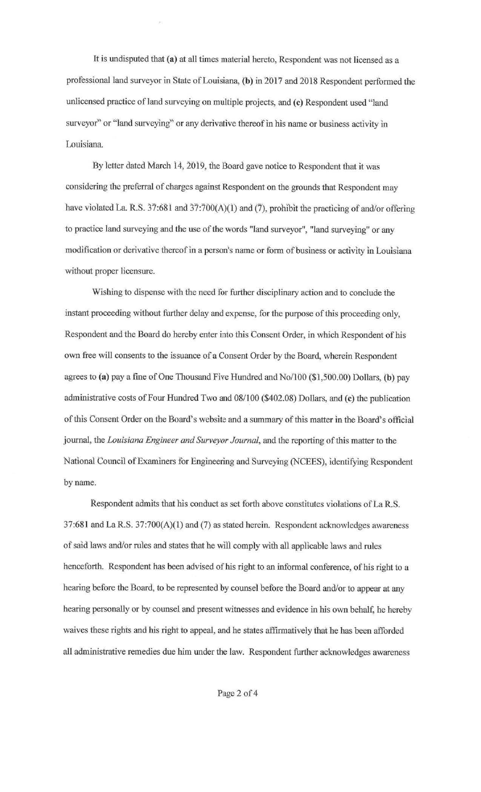It is undisputed that **(a)** at all times material hereto, Respondent was not licensed as a professional land surveyor in State of Louisiana, **{b)** in 2017 and 2018 Respondent performed the unlicensed practice of land surveying on multiple projects, and (c) Respondent used "land surveyor" or "land surveying" or any derivative thereof in his name or business activity in Louisiana

By letter dated March 14, 2019, the Board gave notice to Respondent that it was considering the preferral of charges against Respondent on the grounds that Respondent may have violated La. R.S. 37:681 and 37:700(A)(1) and (7), prohibit the practicing of and/or offering to practice land surveying and the use of the words "land surveyor", "land surveying" or any modification or derivative thereof in a person's name or form of business or activity in Louisiana without proper licensure.

Wishing to dispense with the need for further disciplinary action and to conclude the instant proceeding without further delay and expense, for the purpose of this proceeding only, Respondent and the Board do hereby enter into this Consent Order, in which Respondent of his own free will consents to the issuance of a Consent Order by the Board, wherein Respondent agrees to **{a)** pay a fine of One Thousand Five Hundred and No/ 100 (\$1,500.00) Dollars, {b) pay administrative costs of Four Hundred Two and 08/100 (\$402.08) Dollars, and **(c)** the publication of this Consent Order on the Board's website and a summary of this matter in the Board's official journal, the *Louisiana Engineer and Surveyor Journal,* and the reporting of this matter to the National Council of Examiners for Engineering and Surveying (NCEES), identifying Respondent by name.

Respondent admits that his conduct as set forth above constitutes violations of La R.S.  $37:681$  and La R.S.  $37:700(A)(1)$  and (7) as stated herein. Respondent acknowledges awareness of said laws and/or rules and states that he will comply with all applicable laws and rules henceforth. Respondent has been advised of his right to an informal conference, of his right to a hearing before the Board, to be represented by counsel before the Board and/or to appear at any hearing personally or by counsel and present witnesses and evidence in his own behalf, he hereby waives these rights and his right to appeal, and he states affinnatively that he has been afforded all administrative remedies due him under the law. Respondent further acknowledges awareness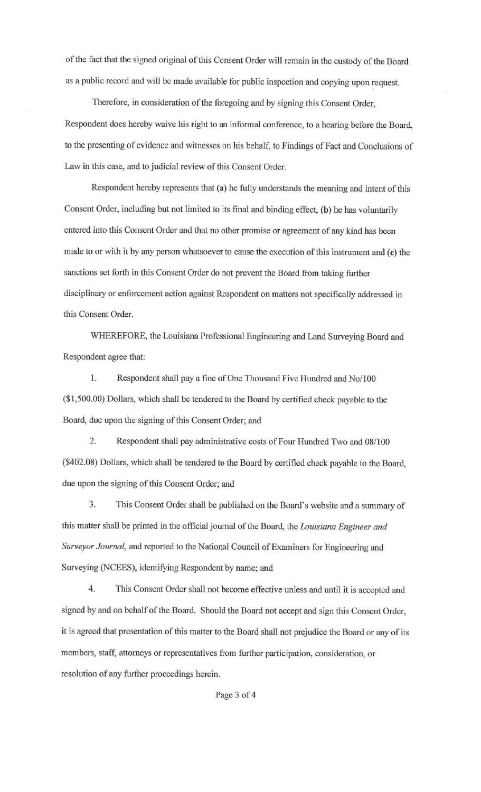of the fact that the signed original of this Consent Order will remain in the custody of the Board as a public record and will be made available for public inspection and copying upon request.

Therefore, in consideration of the foregoing and by signing this Consent Order, Respondent does hereby waive his right to an informal conference, to a hearing before the Board, to the presenting of evidence and witnesses on his behalf, to Findings of Fact and Conclusions of Law in this case, and to judicial review of this Consent Order.

Respondent hereby represents that (a) he fully understands the meaning and intent of this Consent Order, including but not limited to its final and binding effect, (b) he has voluntarily entered into this Consent Order and that no other promise or agreement of any kind has been made to or with it by any person whatsoever to cause the execution of this instrument and (c) the sanctions set forth in this Consent Order do not prevent the Board from taking further disciplinary or enforcement action against Respondent on matters not specifically addressed in this Consent Order.

WHEREFORE, the Louisiana Professional Engineering and Land Surveying Board and Respondent agree that:

1. Respondent shall pay a fine of One Thousand Five Hundred and No/100 (\$1,500.00) Dollars, which shall be tendered to the Board by certified check payable to the Board, due upon the signing of this Consent Order; and

2. Respondent shall pay administrative costs of Four Hundred Two and 08/100 (\$402.08) Dollars, which shall be tendered to the Board by certified check payable to the Board, due upon the signing of this Consent Order; and

3. This Consent Order shall be published on the Board's website and a summary of this matter shall be printed in the official journal of the Board, the *Louisiana Engineer and Surveyor Journal,* and reported to the National Council of Examiners for Engineering and Surveying (NCEES), identifying Respondent by name; and

4. Thls Consent Order shall not become effective unless and until it is accepted and signed by and on behalf of the Board. Should the Board not accept and sign this Consent Order, it is agreed that presentation of this matter to the Board shall not prejudice the Board or any of its members, staff, attorneys or representatives from further participation, consideration, or resolution of any further proceedings herein.